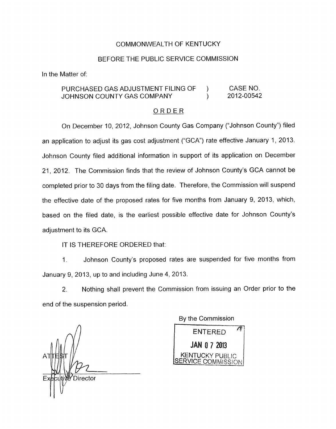## COMMONWEALTH OF KENTUCKY

## BEFORE THE PUBLIC SERVICE COMMISSION

In the Matter of:

## PURCHASED GAS ADJUSTMENT FILING OF ) CASE NO. JOHNSON COUNTY GAS COMPANY (2012-00542

## ORDER

On December 10, 2012, Johnson County Gas Company ("Johnson County") filed an application to adjust its gas cost adjustment ("GCA") rate effective January 1, 2013. Johnson County filed additional information in support of its application on December 21, 2012. The Commission finds that the review of Johnson County's GCA cannot be completed prior to 30 days from the filing date. Therefore, the Commission will suspend the effective date of the proposed rates for five months from January 9, 2013, which, based on the filed date, is the earliest possible effective date for Johnson County's adjustment to its GCA.

IT IS THEREFORE ORDERED that:

1. Johnson County's proposed rates are suspended for five months from January 9, 2013, up to and including June 4, 2013.

2. Nothing shall prevent the Commission from issuing an Order prior to the end of the suspension period.

*n*  tion Director

By the Commission